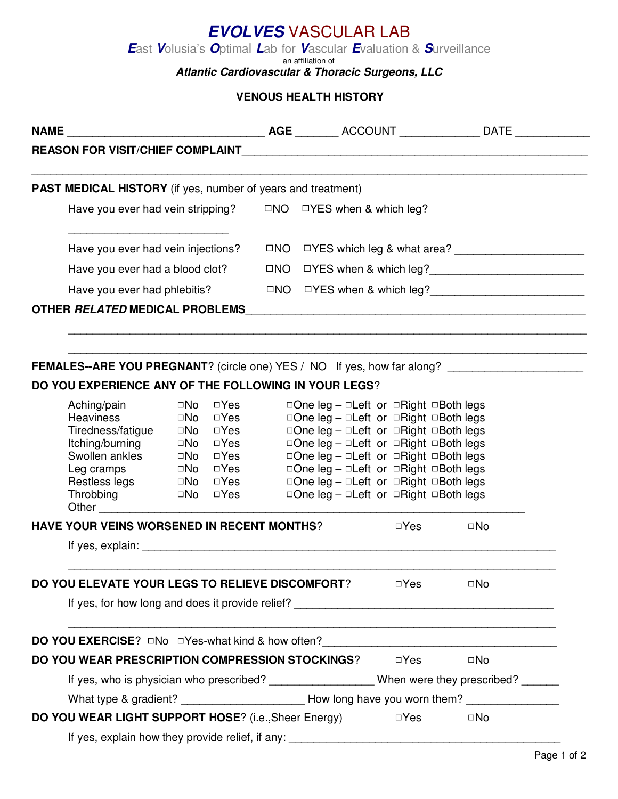| <b>EVOLVES VASCULAR LAB</b>                                                  |
|------------------------------------------------------------------------------|
| <b>East Volusia's Optimal Lab for Vascular Evaluation &amp; Surveillance</b> |
| an affiliation of<br>Atlantic Cardiovascular & Thoracic Surgeons, LLC        |

## **VENOUS HEALTH HISTORY**

| REASON FOR VISIT/CHIEF COMPLAINT <b>And Constant Construction Construction</b>                                                                                                                                                 |                                                                                |                                                                                                                 |                                                          |
|--------------------------------------------------------------------------------------------------------------------------------------------------------------------------------------------------------------------------------|--------------------------------------------------------------------------------|-----------------------------------------------------------------------------------------------------------------|----------------------------------------------------------|
| <b>PAST MEDICAL HISTORY</b> (if yes, number of years and treatment)                                                                                                                                                            |                                                                                |                                                                                                                 |                                                          |
| Have you ever had vein stripping? $\Box$ NO $\Box$ YES when & which leg?                                                                                                                                                       |                                                                                |                                                                                                                 |                                                          |
|                                                                                                                                                                                                                                |                                                                                |                                                                                                                 |                                                          |
| Have you ever had vein injections?                                                                                                                                                                                             |                                                                                |                                                                                                                 | $\Box$ NO $\Box$ YES which leg & what area?              |
| Have you ever had a blood clot?                                                                                                                                                                                                |                                                                                |                                                                                                                 | □NO □YES when & which leg?<br>□NO □YES when & which leg? |
| Have you ever had phlebitis?<br>UNO UYES when & which leg?  UNO UYES when & which leg?  UNO UYES when & which leg?  UNO UYES when & which leg?  UNO UYES when & which leg? UNO UYES when & which leg? UNO UYES when & which le |                                                                                |                                                                                                                 |                                                          |
| OTHER <i>RELATED</i> MEDICAL PROBLEMS NOTHER ASSESSED.                                                                                                                                                                         |                                                                                |                                                                                                                 |                                                          |
|                                                                                                                                                                                                                                |                                                                                |                                                                                                                 |                                                          |
|                                                                                                                                                                                                                                |                                                                                |                                                                                                                 |                                                          |
| <b>FEMALES--ARE YOU PREGNANT?</b> (circle one) YES / NO If yes, how far along?                                                                                                                                                 |                                                                                |                                                                                                                 |                                                          |
| DO YOU EXPERIENCE ANY OF THE FOLLOWING IN YOUR LEGS?                                                                                                                                                                           |                                                                                |                                                                                                                 |                                                          |
| □No<br>□Yes<br>Aching/pain                                                                                                                                                                                                     | □One leg – □Left or □Right □Both legs                                          |                                                                                                                 |                                                          |
| <b>Heaviness</b><br>□Yes<br>□No                                                                                                                                                                                                | □One leg - □Left or □Right □Both legs                                          |                                                                                                                 |                                                          |
| Tiredness/fatigue<br>□Yes<br>□No                                                                                                                                                                                               | □One leg - □Left or □Right □Both legs                                          |                                                                                                                 |                                                          |
| Itching/burning<br>□Yes<br>□No<br>Swollen ankles<br>□Yes                                                                                                                                                                       | □One leg - □Left or □Right □Both legs                                          |                                                                                                                 |                                                          |
| □No<br>□Yes<br>Leg cramps<br>□No                                                                                                                                                                                               | □One leg - □Left or □Right □Both legs<br>□One leg - □Left or □Right □Both legs |                                                                                                                 |                                                          |
| Restless legs <sub>D</sub> No<br>$\Box$ Yes                                                                                                                                                                                    | □One leg - □Left or □Right □Both legs                                          |                                                                                                                 |                                                          |
| Throbbing<br>□Yes<br>$\square$ No                                                                                                                                                                                              | □One leg - □Left or □Right □Both legs                                          |                                                                                                                 |                                                          |
| Other Charles Charles Charles Charles Charles Charles Charles Charles Charles Charles Charles Charles Charles Charles Charles Charles Charles Charles Charles Charles Charles Charles Charles Charles Charles Charles Charles  |                                                                                |                                                                                                                 |                                                          |
| <b>HAVE YOUR VEINS WORSENED IN RECENT MONTHS?</b>                                                                                                                                                                              |                                                                                | □Yes                                                                                                            | $\square$ No                                             |
| If yes, explain: The contract of the contract of the contract of the contract of the contract of the contract of the contract of the contract of the contract of the contract of the contract of the contract of the contract  |                                                                                |                                                                                                                 |                                                          |
| <b>DO YOU ELEVATE YOUR LEGS TO RELIEVE DISCOMFORT?</b> DYes                                                                                                                                                                    |                                                                                |                                                                                                                 | $\square$ No                                             |
|                                                                                                                                                                                                                                |                                                                                |                                                                                                                 |                                                          |
|                                                                                                                                                                                                                                |                                                                                |                                                                                                                 |                                                          |
| DO YOU WEAR PRESCRIPTION COMPRESSION STOCKINGS? LATES TO ANO                                                                                                                                                                   |                                                                                |                                                                                                                 |                                                          |
| If yes, who is physician who prescribed? ___________________When were they prescribed? ______                                                                                                                                  |                                                                                |                                                                                                                 |                                                          |
| What type & gradient? ___________________________How long have you worn them? _____________________                                                                                                                            |                                                                                |                                                                                                                 |                                                          |
| DO YOU WEAR LIGHT SUPPORT HOSE? (i.e., Sheer Energy)                                                                                                                                                                           |                                                                                | Des international and the position of the position of the set of the set of the set of the set of the set of th | $\square$ No                                             |
|                                                                                                                                                                                                                                |                                                                                |                                                                                                                 |                                                          |